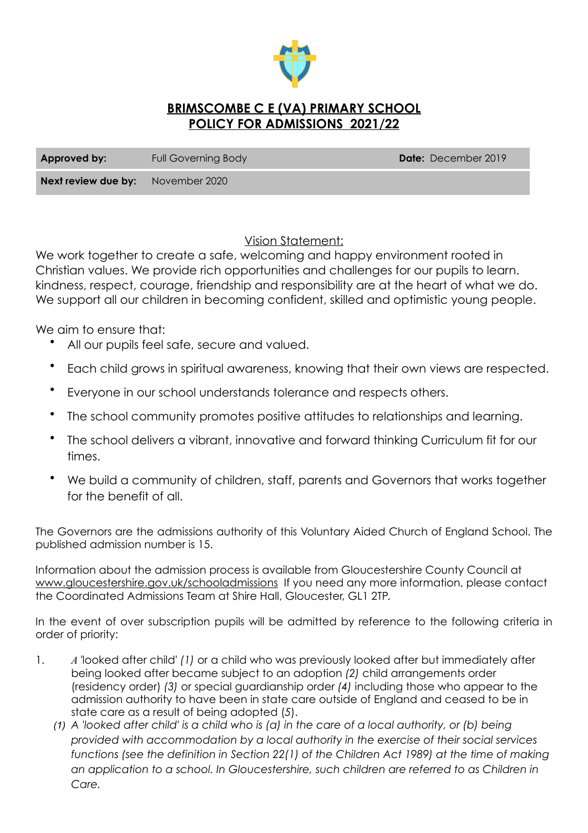

# **BRIMSCOMBE C E (VA) PRIMARY SCHOOL POLICY FOR ADMISSIONS 2021/22**

| Approved by:                             | Full Governing Body | <b>Date:</b> December 2019 |
|------------------------------------------|---------------------|----------------------------|
| <b>Next review due by:</b> November 2020 |                     |                            |

# Vision Statement:

We work together to create a safe, welcoming and happy environment rooted in Christian values. We provide rich opportunities and challenges for our pupils to learn. kindness, respect, courage, friendship and responsibility are at the heart of what we do. We support all our children in becoming confident, skilled and optimistic young people.

We aim to ensure that:

- All our pupils feel safe, secure and valued.
- Each child grows in spiritual awareness, knowing that their own views are respected.
- Everyone in our school understands tolerance and respects others.
- The school community promotes positive attitudes to relationships and learning.
- The school delivers a vibrant, innovative and forward thinking Curriculum fit for our times.
- We build a community of children, staff, parents and Governors that works together for the benefit of all.

The Governors are the admissions authority of this Voluntary Aided Church of England School. The published admission number is 15.

Information about the admission process is available from Gloucestershire County Council at [www.gloucestershire.gov.uk/schooladmissions](http://www.gloucestershire.gov.uk/schooladmissions) If you need any more information, please contact the Coordinated Admissions Team at Shire Hall, Gloucester, GL1 2TP.

In the event of over subscription pupils will be admitted by reference to the following criteria in order of priority:

- 1. *A '*looked after child' *(1)* or a child who was previously looked after but immediately after being looked after became subject to an adoption *(2)* child arrangements order (residency order) *(3)* or special guardianship order *(4)* including those who appear to the admission authority to have been in state care outside of England and ceased to be in state care as a result of being adopted (*5*).
	- *(1) A 'looked after child' is a child who is (a) in the care of a local authority, or (b) being provided with accommodation by a local authority in the exercise of their social services functions (see the definition in Section 22(1) of the Children Act 1989) at the time of making an application to a school. In Gloucestershire, such children are referred to as Children in Care.*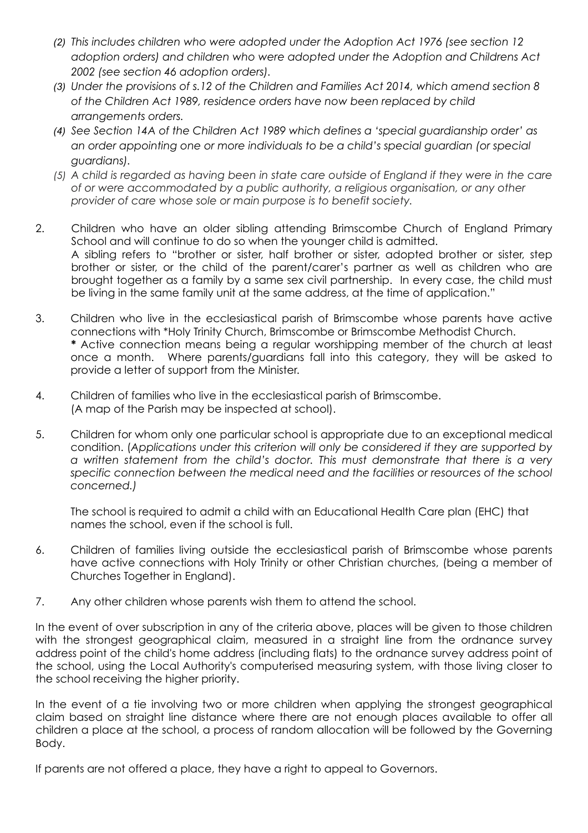- *(2) This includes children who were adopted under the Adoption Act 1976 (see section 12 adoption orders) and children who were adopted under the Adoption and Childrens Act 2002 (see section 46 adoption orders).*
- *(3) Under the provisions of s.12 of the Children and Families Act 2014, which amend section 8 of the Children Act 1989, residence orders have now been replaced by child arrangements orders.*
- *(4) See Section 14A of the Children Act 1989 which defines a 'special guardianship order' as an order appointing one or more individuals to be a child's special guardian (or special guardians).*
- *(5) A child is regarded as having been in state care outside of England if they were in the care of or were accommodated by a public authority, a religious organisation, or any other provider of care whose sole or main purpose is to benefit society.*
- 2. Children who have an older sibling attending Brimscombe Church of England Primary School and will continue to do so when the younger child is admitted. A sibling refers to "brother or sister, half brother or sister, adopted brother or sister, step brother or sister, or the child of the parent/carer's partner as well as children who are brought together as a family by a same sex civil partnership. In every case, the child must be living in the same family unit at the same address, at the time of application."
- 3. Children who live in the ecclesiastical parish of Brimscombe whose parents have active connections with \*Holy Trinity Church, Brimscombe or Brimscombe Methodist Church. **\*** Active connection means being a regular worshipping member of the church at least once a month. Where parents/guardians fall into this category, they will be asked to provide a letter of support from the Minister.
- 4. Children of families who live in the ecclesiastical parish of Brimscombe. (A map of the Parish may be inspected at school).
- 5. Children for whom only one particular school is appropriate due to an exceptional medical condition. (*Applications under this criterion will only be considered if they are supported by a written statement from the child's doctor. This must demonstrate that there is a very specific connection between the medical need and the facilities or resources of the school concerned.)*

The school is required to admit a child with an Educational Health Care plan (EHC) that names the school, even if the school is full.

- 6. Children of families living outside the ecclesiastical parish of Brimscombe whose parents have active connections with Holy Trinity or other Christian churches, (being a member of Churches Together in England).
- 7. Any other children whose parents wish them to attend the school.

In the event of over subscription in any of the criteria above, places will be given to those children with the strongest geographical claim, measured in a straight line from the ordnance survey address point of the child's home address (including flats) to the ordnance survey address point of the school, using the Local Authority's computerised measuring system, with those living closer to the school receiving the higher priority.

In the event of a tie involving two or more children when applying the strongest geographical claim based on straight line distance where there are not enough places available to offer all children a place at the school, a process of random allocation will be followed by the Governing Body.

If parents are not offered a place, they have a right to appeal to Governors.